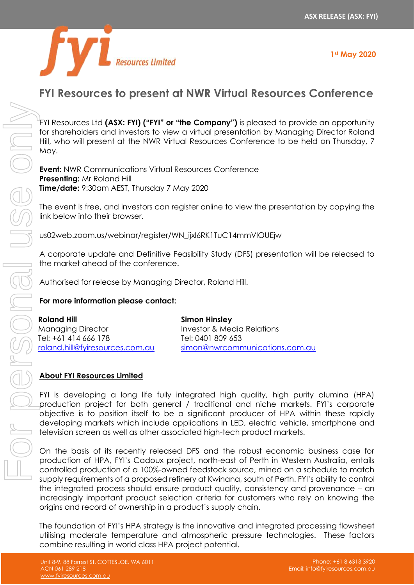

# **FYI Resources to present at NWR Virtual Resources Conference**

FYI Resources Ltd **(ASX: FYI) ("FYI" or "the Company")** is pleased to provide an opportunity for shareholders and investors to view a virtual presentation by Managing Director Roland Hill, who will present at the NWR Virtual Resources Conference to be held on Thursday, 7 May.

**Event:** NWR Communications Virtual Resources Conference **Presenting:** Mr Roland Hill **Time/date:** 9:30am AEST, Thursday 7 May 2020

The event is free, and investors can register online to view the presentation by copying the link below into their browser.

us02web.zoom.us/webinar/register/WN\_ijxl6RK1TuC14mmVlOUEjw

A corporate update and Definitive Feasibility Study (DFS) presentation will be released to the market ahead of the conference.

Authorised for release by Managing Director, Roland Hill.

### **For more information please contact:**

| Roland Hill                     | <b>Simon Hinsley</b>           |
|---------------------------------|--------------------------------|
| <b>Managing Director</b>        | Investor & Media Relations     |
| Tel: +61 414 666 178            | Tel: 0401 809 653              |
| roland.hill@fyiresources.com.au | simon@nwrcommunications.com.au |

### **About FYI Resources Limited**

FYI is developing a long life fully integrated high quality, high purity alumina (HPA) production project for both general / traditional and niche markets. FYI's corporate objective is to position itself to be a significant producer of HPA within these rapidly developing markets which include applications in LED, electric vehicle, smartphone and television screen as well as other associated high-tech product markets.

On the basis of its recently released DFS and the robust economic business case for production of HPA, FYI's Cadoux project, north-east of Perth in Western Australia, entails controlled production of a 100%-owned feedstock source, mined on a schedule to match supply requirements of a proposed refinery at Kwinana, south of Perth. FYI's ability to control the integrated process should ensure product quality, consistency and provenance – an increasingly important product selection criteria for customers who rely on knowing the origins and record of ownership in a product's supply chain.

The foundation of FYI's HPA strategy is the innovative and integrated processing flowsheet utilising moderate temperature and atmospheric pressure technologies. These factors